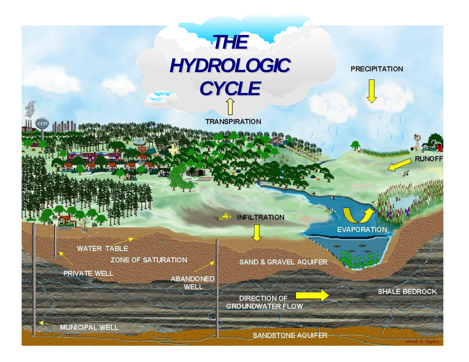